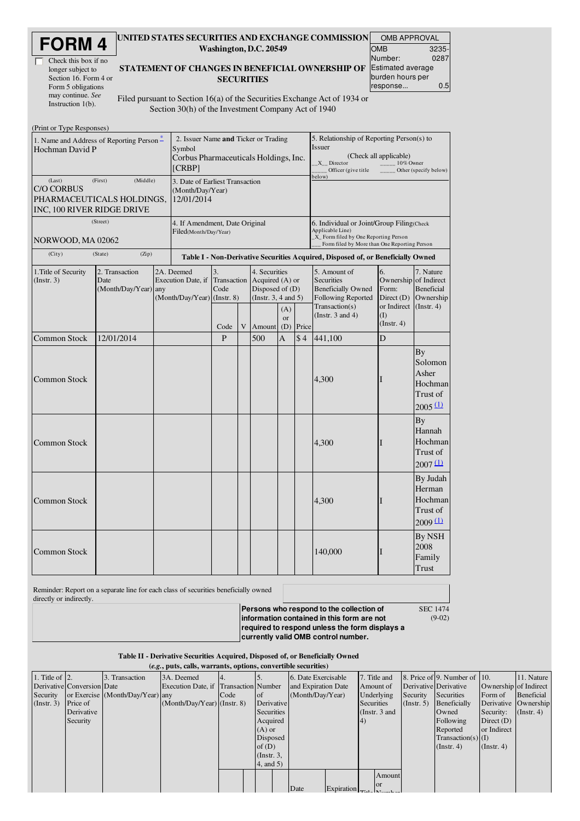| <b>FORM4</b> |  |
|--------------|--|
|--------------|--|

| Check this box if no  |
|-----------------------|
| longer subject to     |
| Section 16. Form 4 or |
| Form 5 obligations    |
| may continue. See     |
| Instruction $1(b)$ .  |

#### UNITED STATES SECURITIES AND EXCHANGE COMMISSION Washington, D.C. 20549

| STATEMENT OF CHANGES IN BENEFICIAL OWNERSHIP OF |
|-------------------------------------------------|
| <b>SECURITIES</b>                               |

OMB APPROVAL **OMB** Number: 3235- 0287 Estimated average burden hours per response... 0.5

Filed pursuant to Section 16(a) of the Securities Exchange Act of 1934 or Section 30(h) of the Investment Company Act of 1940

| (Print or Type Responses)                                                                         |                                                |                                                                                                   |                                                         |                                                                                                                                               |   |        |                                                                                                 |                                     |                                                                                                                                                                                                                        |                                                    |                                                                     |
|---------------------------------------------------------------------------------------------------|------------------------------------------------|---------------------------------------------------------------------------------------------------|---------------------------------------------------------|-----------------------------------------------------------------------------------------------------------------------------------------------|---|--------|-------------------------------------------------------------------------------------------------|-------------------------------------|------------------------------------------------------------------------------------------------------------------------------------------------------------------------------------------------------------------------|----------------------------------------------------|---------------------------------------------------------------------|
| 1. Name and Address of Reporting Person <sup>*</sup><br>Hochman David P                           |                                                | 2. Issuer Name and Ticker or Trading<br>Symbol<br>Corbus Pharmaceuticals Holdings, Inc.<br>[CRBP] |                                                         |                                                                                                                                               |   |        | 5. Relationship of Reporting Person(s) to<br><b>Issuer</b><br>X Director<br>Officer (give title | (Check all applicable)<br>10% Owner | Other (specify below)                                                                                                                                                                                                  |                                                    |                                                                     |
| (First)<br>(Last)<br><b>C/O CORBUS</b><br>PHARMACEUTICALS HOLDINGS,<br>INC, 100 RIVER RIDGE DRIVE | (Middle)                                       | 3. Date of Earliest Transaction<br>(Month/Day/Year)<br>12/01/2014                                 |                                                         |                                                                                                                                               |   |        | below)                                                                                          |                                     |                                                                                                                                                                                                                        |                                                    |                                                                     |
| NORWOOD, MA 02062                                                                                 | (Street)                                       |                                                                                                   | 4. If Amendment, Date Original<br>Filed(Month/Day/Year) |                                                                                                                                               |   |        |                                                                                                 |                                     | 6. Individual or Joint/Group Filing (Check)<br>Applicable Line)<br>_X_ Form filed by One Reporting Person<br>Form filed by More than One Reporting Person                                                              |                                                    |                                                                     |
| (City)                                                                                            | (Zip)<br>(State)                               |                                                                                                   |                                                         |                                                                                                                                               |   |        |                                                                                                 |                                     | Table I - Non-Derivative Securities Acquired, Disposed of, or Beneficially Owned                                                                                                                                       |                                                    |                                                                     |
| 1. Title of Security<br>(Instr. 3)                                                                | 2. Transaction<br>Date<br>(Month/Day/Year) any |                                                                                                   | 2A. Deemed<br>Execution Date, if                        | 4. Securities<br>3.<br>Transaction<br>Acquired (A) or<br>Code<br>Disposed of $(D)$<br>(Month/Day/Year) (Instr. 8)<br>(Instr. $3, 4$ and $5$ ) |   |        | (A)<br><sub>or</sub>                                                                            |                                     | 5. Amount of<br>6.<br><b>Securities</b><br>Ownership of Indirect<br><b>Beneficially Owned</b><br>Form:<br>Following Reported<br>Direct $(D)$<br>Transaction(s)<br>or Indirect<br>(Instr. $3$ and $4$ )<br>$($ $\Gamma$ | 7. Nature<br>Beneficial<br>Ownership<br>(Instr. 4) |                                                                     |
|                                                                                                   |                                                |                                                                                                   |                                                         | Code                                                                                                                                          | V | Amount | (D)                                                                                             | Price                               |                                                                                                                                                                                                                        | $($ Instr. 4 $)$                                   |                                                                     |
| <b>Common Stock</b>                                                                               | 12/01/2014                                     |                                                                                                   |                                                         | $\mathbf{p}$                                                                                                                                  |   | 500    | $\overline{A}$                                                                                  | \$4                                 | 441,100                                                                                                                                                                                                                | D                                                  |                                                                     |
| <b>Common Stock</b>                                                                               |                                                |                                                                                                   |                                                         |                                                                                                                                               |   |        |                                                                                                 |                                     | 4,300                                                                                                                                                                                                                  |                                                    | <b>By</b><br>Solomon<br>Asher<br>Hochman<br>Trust of<br>2005(1)     |
| <b>Common Stock</b>                                                                               |                                                |                                                                                                   |                                                         |                                                                                                                                               |   |        |                                                                                                 |                                     | 4,300                                                                                                                                                                                                                  |                                                    | <b>By</b><br>Hannah<br>Hochman<br>Trust of<br>$2007 \underline{11}$ |
| <b>Common Stock</b>                                                                               |                                                |                                                                                                   |                                                         |                                                                                                                                               |   |        |                                                                                                 |                                     | 4,300                                                                                                                                                                                                                  |                                                    | By Judah<br>Herman<br>Hochman<br>Trust of<br>2009(1)                |
| <b>Common Stock</b>                                                                               |                                                |                                                                                                   |                                                         |                                                                                                                                               |   |        |                                                                                                 |                                     | 140,000                                                                                                                                                                                                                |                                                    | By NSH<br>2008<br>Family<br>Trust                                   |

Reminder: Report on a separate line for each class of securities beneficially owned directly or indirectly.

**Persons who respond to the collection of information contained in this form are not required to respond unless the form displays a currently valid OMB control number.** SEC 1474

(9-02)

## Table II - Derivative Securities Acquired, Disposed of, or Beneficially Owned

| (e.g., puts, calls, warrants, options, convertible securities) |                            |                                  |                                       |      |                   |                     |                                   |                 |                       |                                                      |                       |                      |
|----------------------------------------------------------------|----------------------------|----------------------------------|---------------------------------------|------|-------------------|---------------------|-----------------------------------|-----------------|-----------------------|------------------------------------------------------|-----------------------|----------------------|
| 1. Title of $\vert$ 2.                                         |                            | 3. Transaction                   | 3A. Deemed                            |      |                   | 6. Date Exercisable |                                   | 7. Title and    |                       | $\vert$ 8. Price of $\vert$ 9. Number of $\vert$ 10. |                       | 11. Nature           |
|                                                                | Derivative Conversion Date |                                  | Execution Date, if Transaction Number |      |                   | and Expiration Date |                                   | Amount of       | Derivative Derivative |                                                      | Ownership of Indirect |                      |
| Security                                                       |                            | or Exercise (Month/Day/Year) any |                                       | Code | l of              | (Month/Day/Year)    |                                   | Underlying      | Security              | Securities                                           | Form of               | Beneficial           |
| (Insert. 3)                                                    | <b>Price of</b>            |                                  | $(Month/Day/Year)$ (Instr. 8)         |      | Derivative        |                     |                                   | Securities      | $($ Instr. 5 $)$      | Beneficially                                         |                       | Derivative Ownership |
|                                                                | Derivative                 |                                  |                                       |      | <b>Securities</b> |                     |                                   | (Instr. $3$ and |                       | Owned                                                | Security:             | $($ Instr. 4 $)$     |
|                                                                | Security                   |                                  |                                       |      | Acquired          |                     |                                   | (4)             |                       | Following                                            | Direct $(D)$          |                      |
|                                                                |                            |                                  |                                       |      | $(A)$ or          |                     |                                   |                 |                       | Reported                                             | or Indirect           |                      |
|                                                                |                            |                                  |                                       |      | Disposed          |                     |                                   |                 |                       | $Transaction(s)$ (I)                                 |                       |                      |
|                                                                |                            |                                  |                                       |      | of $(D)$          |                     |                                   |                 |                       | $($ Instr. 4 $)$                                     | (Instr. 4)            |                      |
|                                                                |                            |                                  |                                       |      | $($ Instr. $3$ ,  |                     |                                   |                 |                       |                                                      |                       |                      |
|                                                                |                            |                                  |                                       |      | $4$ , and $5$ )   |                     |                                   |                 |                       |                                                      |                       |                      |
|                                                                |                            |                                  |                                       |      |                   |                     |                                   | Amount          |                       |                                                      |                       |                      |
|                                                                |                            |                                  |                                       |      |                   |                     |                                   | or              |                       |                                                      |                       |                      |
|                                                                |                            |                                  |                                       |      |                   | Date                | Expiration $\vert_{\text{Total}}$ |                 |                       |                                                      |                       |                      |